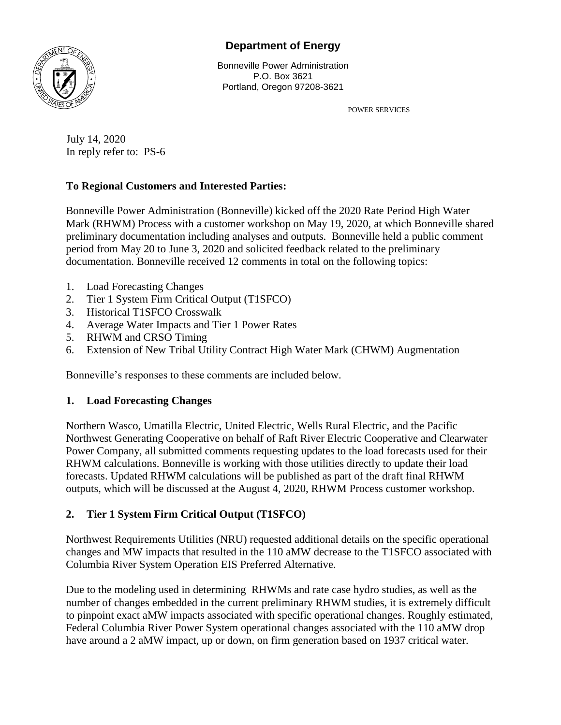# **Department of Energy**



Bonneville Power Administration P.O. Box 3621 Portland, Oregon 97208-3621

POWER SERVICES

July 14, 2020 In reply refer to: PS-6

# **To Regional Customers and Interested Parties:**

Bonneville Power Administration (Bonneville) kicked off the 2020 Rate Period High Water Mark (RHWM) Process with a customer workshop on May 19, 2020, at which Bonneville shared preliminary documentation including analyses and outputs. Bonneville held a public comment period from May 20 to June 3, 2020 and solicited feedback related to the preliminary documentation. Bonneville received 12 comments in total on the following topics:

- 1. Load Forecasting Changes
- 2. Tier 1 System Firm Critical Output (T1SFCO)
- 3. Historical T1SFCO Crosswalk
- 4. Average Water Impacts and Tier 1 Power Rates
- 5. RHWM and CRSO Timing
- 6. Extension of New Tribal Utility Contract High Water Mark (CHWM) Augmentation

Bonneville's responses to these comments are included below.

### **1. Load Forecasting Changes**

Northern Wasco, Umatilla Electric, United Electric, Wells Rural Electric, and the Pacific Northwest Generating Cooperative on behalf of Raft River Electric Cooperative and Clearwater Power Company, all submitted comments requesting updates to the load forecasts used for their RHWM calculations. Bonneville is working with those utilities directly to update their load forecasts. Updated RHWM calculations will be published as part of the draft final RHWM outputs, which will be discussed at the August 4, 2020, RHWM Process customer workshop.

# **2. Tier 1 System Firm Critical Output (T1SFCO)**

Northwest Requirements Utilities (NRU) requested additional details on the specific operational changes and MW impacts that resulted in the 110 aMW decrease to the T1SFCO associated with Columbia River System Operation EIS Preferred Alternative.

Due to the modeling used in determining RHWMs and rate case hydro studies, as well as the number of changes embedded in the current preliminary RHWM studies, it is extremely difficult to pinpoint exact aMW impacts associated with specific operational changes. Roughly estimated, Federal Columbia River Power System operational changes associated with the 110 aMW drop have around a 2 aMW impact, up or down, on firm generation based on 1937 critical water.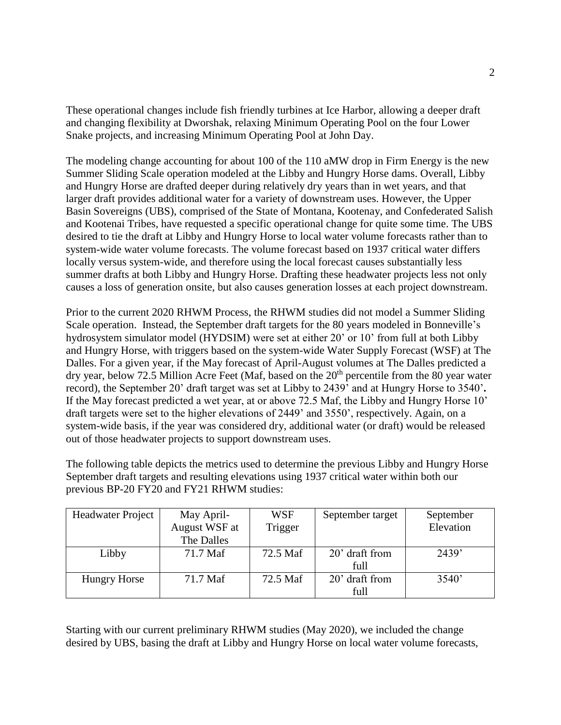These operational changes include fish friendly turbines at Ice Harbor, allowing a deeper draft and changing flexibility at Dworshak, relaxing Minimum Operating Pool on the four Lower Snake projects, and increasing Minimum Operating Pool at John Day.

The modeling change accounting for about 100 of the 110 aMW drop in Firm Energy is the new Summer Sliding Scale operation modeled at the Libby and Hungry Horse dams. Overall, Libby and Hungry Horse are drafted deeper during relatively dry years than in wet years, and that larger draft provides additional water for a variety of downstream uses. However, the Upper Basin Sovereigns (UBS), comprised of the State of Montana, Kootenay, and Confederated Salish and Kootenai Tribes, have requested a specific operational change for quite some time. The UBS desired to tie the draft at Libby and Hungry Horse to local water volume forecasts rather than to system-wide water volume forecasts. The volume forecast based on 1937 critical water differs locally versus system-wide, and therefore using the local forecast causes substantially less summer drafts at both Libby and Hungry Horse. Drafting these headwater projects less not only causes a loss of generation onsite, but also causes generation losses at each project downstream.

Prior to the current 2020 RHWM Process, the RHWM studies did not model a Summer Sliding Scale operation. Instead, the September draft targets for the 80 years modeled in Bonneville's hydrosystem simulator model (HYDSIM) were set at either 20' or 10' from full at both Libby and Hungry Horse, with triggers based on the system-wide Water Supply Forecast (WSF) at The Dalles. For a given year, if the May forecast of April-August volumes at The Dalles predicted a dry year, below 72.5 Million Acre Feet (Maf, based on the 20<sup>th</sup> percentile from the 80 year water record), the September 20' draft target was set at Libby to 2439' and at Hungry Horse to 3540'**.**  If the May forecast predicted a wet year, at or above 72.5 Maf, the Libby and Hungry Horse 10' draft targets were set to the higher elevations of 2449' and 3550', respectively. Again, on a system-wide basis, if the year was considered dry, additional water (or draft) would be released out of those headwater projects to support downstream uses.

The following table depicts the metrics used to determine the previous Libby and Hungry Horse September draft targets and resulting elevations using 1937 critical water within both our previous BP-20 FY20 and FY21 RHWM studies:

| <b>Headwater Project</b> | May April-    | <b>WSF</b> | September target | September |
|--------------------------|---------------|------------|------------------|-----------|
|                          | August WSF at | Trigger    |                  | Elevation |
|                          | The Dalles    |            |                  |           |
| Libby                    | 71.7 Maf      | 72.5 Maf   | 20' draft from   | 2439'     |
|                          |               |            | full             |           |
| <b>Hungry Horse</b>      | 71.7 Maf      | 72.5 Maf   | 20' draft from   | 3540'     |
|                          |               |            | full             |           |

Starting with our current preliminary RHWM studies (May 2020), we included the change desired by UBS, basing the draft at Libby and Hungry Horse on local water volume forecasts,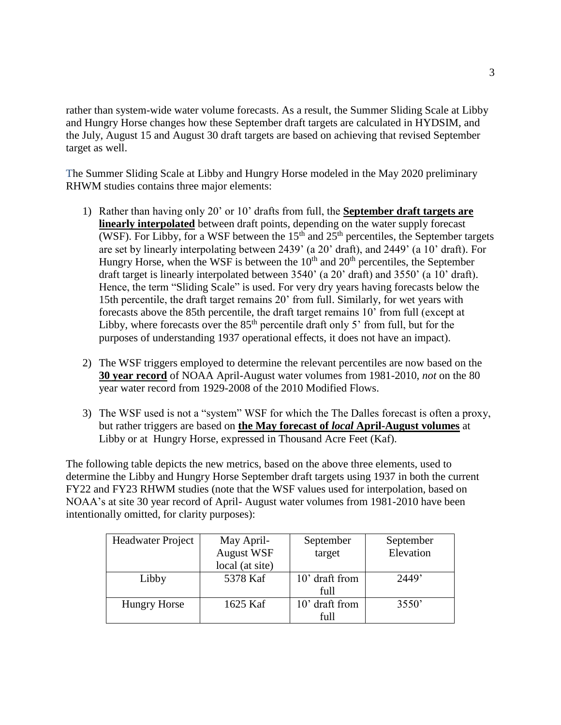rather than system-wide water volume forecasts. As a result, the Summer Sliding Scale at Libby and Hungry Horse changes how these September draft targets are calculated in HYDSIM, and the July, August 15 and August 30 draft targets are based on achieving that revised September target as well.

The Summer Sliding Scale at Libby and Hungry Horse modeled in the May 2020 preliminary RHWM studies contains three major elements:

- 1) Rather than having only 20' or 10' drafts from full, the **September draft targets are linearly interpolated** between draft points, depending on the water supply forecast (WSF). For Libby, for a WSF between the  $15<sup>th</sup>$  and  $25<sup>th</sup>$  percentiles, the September targets are set by linearly interpolating between 2439' (a 20' draft), and 2449' (a 10' draft). For Hungry Horse, when the WSF is between the  $10<sup>th</sup>$  and  $20<sup>th</sup>$  percentiles, the September draft target is linearly interpolated between 3540' (a 20' draft) and 3550' (a 10' draft). Hence, the term "Sliding Scale" is used. For very dry years having forecasts below the 15th percentile, the draft target remains 20' from full. Similarly, for wet years with forecasts above the 85th percentile, the draft target remains 10' from full (except at Libby, where forecasts over the  $85<sup>th</sup>$  percentile draft only 5' from full, but for the purposes of understanding 1937 operational effects, it does not have an impact).
- 2) The WSF triggers employed to determine the relevant percentiles are now based on the **30 year record** of NOAA April-August water volumes from 1981-2010, *not* on the 80 year water record from 1929-2008 of the 2010 Modified Flows.
- 3) The WSF used is not a "system" WSF for which the The Dalles forecast is often a proxy, but rather triggers are based on **the May forecast of** *local* **April-August volumes** at Libby or at Hungry Horse, expressed in Thousand Acre Feet (Kaf).

The following table depicts the new metrics, based on the above three elements, used to determine the Libby and Hungry Horse September draft targets using 1937 in both the current FY22 and FY23 RHWM studies (note that the WSF values used for interpolation, based on NOAA's at site 30 year record of April- August water volumes from 1981-2010 have been intentionally omitted, for clarity purposes):

| Headwater Project   | May April-        | September      | September |  |
|---------------------|-------------------|----------------|-----------|--|
|                     | <b>August WSF</b> | target         | Elevation |  |
|                     | local (at site)   |                |           |  |
| Libby               | 5378 Kaf          | 10' draft from | 2449'     |  |
|                     |                   | full           |           |  |
| <b>Hungry Horse</b> | 1625 Kaf          | 10' draft from | 3550'     |  |
|                     |                   | full           |           |  |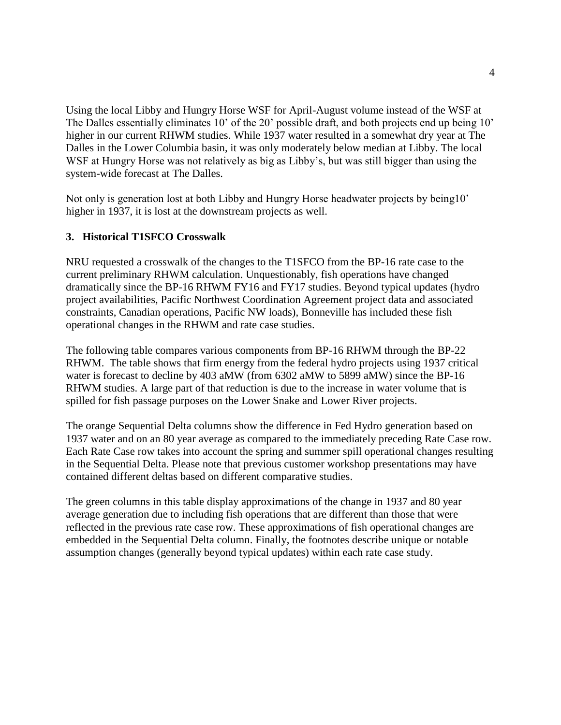Using the local Libby and Hungry Horse WSF for April-August volume instead of the WSF at The Dalles essentially eliminates 10' of the 20' possible draft, and both projects end up being 10' higher in our current RHWM studies. While 1937 water resulted in a somewhat dry year at The Dalles in the Lower Columbia basin, it was only moderately below median at Libby. The local WSF at Hungry Horse was not relatively as big as Libby's, but was still bigger than using the system-wide forecast at The Dalles.

Not only is generation lost at both Libby and Hungry Horse headwater projects by being10' higher in 1937, it is lost at the downstream projects as well.

### **3. Historical T1SFCO Crosswalk**

NRU requested a crosswalk of the changes to the T1SFCO from the BP-16 rate case to the current preliminary RHWM calculation. Unquestionably, fish operations have changed dramatically since the BP-16 RHWM FY16 and FY17 studies. Beyond typical updates (hydro project availabilities, Pacific Northwest Coordination Agreement project data and associated constraints, Canadian operations, Pacific NW loads), Bonneville has included these fish operational changes in the RHWM and rate case studies.

The following table compares various components from BP-16 RHWM through the BP-22 RHWM. The table shows that firm energy from the federal hydro projects using 1937 critical water is forecast to decline by 403 aMW (from 6302 aMW to 5899 aMW) since the BP-16 RHWM studies. A large part of that reduction is due to the increase in water volume that is spilled for fish passage purposes on the Lower Snake and Lower River projects.

The orange Sequential Delta columns show the difference in Fed Hydro generation based on 1937 water and on an 80 year average as compared to the immediately preceding Rate Case row. Each Rate Case row takes into account the spring and summer spill operational changes resulting in the Sequential Delta. Please note that previous customer workshop presentations may have contained different deltas based on different comparative studies.

The green columns in this table display approximations of the change in 1937 and 80 year average generation due to including fish operations that are different than those that were reflected in the previous rate case row. These approximations of fish operational changes are embedded in the Sequential Delta column. Finally, the footnotes describe unique or notable assumption changes (generally beyond typical updates) within each rate case study.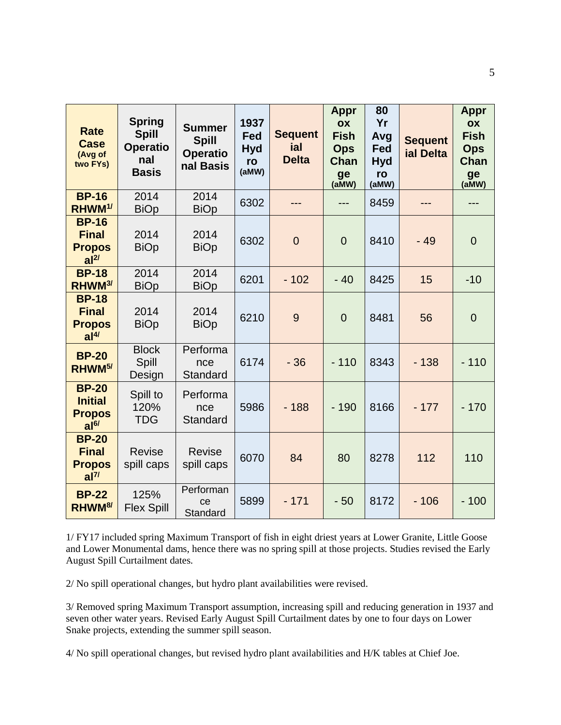| <b>Rate</b><br><b>Case</b><br>(Avg of<br>two FYs)                  | <b>Spring</b><br><b>Spill</b><br><b>Operatio</b><br>nal<br><b>Basis</b> | <b>Summer</b><br><b>Spill</b><br><b>Operatio</b><br>nal Basis | 1937<br>Fed<br><b>Hyd</b><br>ro<br>(aMW) | <b>Sequent</b><br>ial<br><b>Delta</b> | <b>Appr</b><br>OX<br><b>Fish</b><br><b>Ops</b><br>Chan<br>ge<br>(aMW) | 80<br>Yr<br>Avg<br>Fed<br><b>Hyd</b><br>ro<br>(aMW) | <b>Sequent</b><br>ial Delta | Appr<br>OX<br><b>Fish</b><br><b>Ops</b><br>Chan<br>ge<br>(aMW) |
|--------------------------------------------------------------------|-------------------------------------------------------------------------|---------------------------------------------------------------|------------------------------------------|---------------------------------------|-----------------------------------------------------------------------|-----------------------------------------------------|-----------------------------|----------------------------------------------------------------|
| <b>BP-16</b><br>RHWM <sup>1/</sup>                                 | 2014<br><b>BiOp</b>                                                     | 2014<br><b>BiOp</b>                                           | 6302                                     | ---                                   | ---                                                                   | 8459                                                |                             | ---                                                            |
| <b>BP-16</b><br><b>Final</b><br><b>Propos</b><br>al <sup>2</sup>   | 2014<br><b>BiOp</b>                                                     | 2014<br><b>BiOp</b>                                           | 6302                                     | $\overline{0}$                        | $\overline{0}$                                                        | 8410                                                | $-49$                       | $\overline{0}$                                                 |
| <b>BP-18</b><br>RHWM <sup>3/</sup>                                 | 2014<br><b>BiOp</b>                                                     | 2014<br><b>BiOp</b>                                           | 6201                                     | $-102$                                | $-40$                                                                 | 8425                                                | 15                          | $-10$                                                          |
| <b>BP-18</b><br><b>Final</b><br><b>Propos</b><br>al <sup>4</sup>   | 2014<br><b>BiOp</b>                                                     | 2014<br><b>BiOp</b>                                           | 6210                                     | 9                                     | $\overline{0}$                                                        | 8481                                                | 56                          | $\overline{0}$                                                 |
| <b>BP-20</b><br>RHWM <sup>5/</sup>                                 | <b>Block</b><br>Spill<br>Design                                         | Performa<br>nce<br>Standard                                   | 6174                                     | $-36$                                 | $-110$                                                                | 8343                                                | $-138$                      | $-110$                                                         |
| <b>BP-20</b><br><b>Initial</b><br><b>Propos</b><br>al <sup>6</sup> | Spill to<br>120%<br><b>TDG</b>                                          | Performa<br>nce<br>Standard                                   | 5986                                     | $-188$                                | $-190$                                                                | 8166                                                | $-177$                      | $-170$                                                         |
| <b>BP-20</b><br><b>Final</b><br><b>Propos</b><br>al <sup>7</sup>   | <b>Revise</b><br>spill caps                                             | <b>Revise</b><br>spill caps                                   | 6070                                     | 84                                    | 80                                                                    | 8278                                                | 112                         | 110                                                            |
| <b>BP-22</b><br>RHWM <sup>8/</sup>                                 | 125%<br><b>Flex Spill</b>                                               | Performan<br>ce<br>Standard                                   | 5899                                     | $-171$                                | $-50$                                                                 | 8172                                                | $-106$                      | $-100$                                                         |

1/ FY17 included spring Maximum Transport of fish in eight driest years at Lower Granite, Little Goose and Lower Monumental dams, hence there was no spring spill at those projects. Studies revised the Early August Spill Curtailment dates.

2/ No spill operational changes, but hydro plant availabilities were revised.

3/ Removed spring Maximum Transport assumption, increasing spill and reducing generation in 1937 and seven other water years. Revised Early August Spill Curtailment dates by one to four days on Lower Snake projects, extending the summer spill season.

4/ No spill operational changes, but revised hydro plant availabilities and H/K tables at Chief Joe.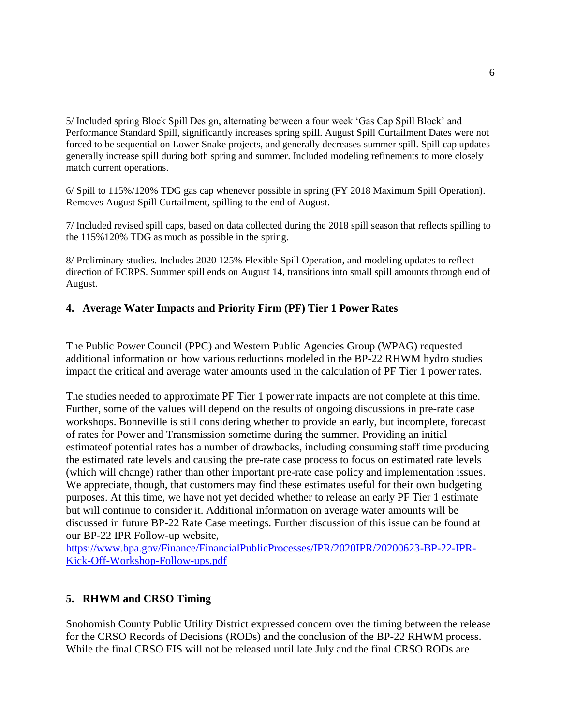5/ Included spring Block Spill Design, alternating between a four week 'Gas Cap Spill Block' and Performance Standard Spill, significantly increases spring spill. August Spill Curtailment Dates were not forced to be sequential on Lower Snake projects, and generally decreases summer spill. Spill cap updates generally increase spill during both spring and summer. Included modeling refinements to more closely match current operations.

6/ Spill to 115%/120% TDG gas cap whenever possible in spring (FY 2018 Maximum Spill Operation). Removes August Spill Curtailment, spilling to the end of August.

7/ Included revised spill caps, based on data collected during the 2018 spill season that reflects spilling to the 115%120% TDG as much as possible in the spring.

8/ Preliminary studies. Includes 2020 125% Flexible Spill Operation, and modeling updates to reflect direction of FCRPS. Summer spill ends on August 14, transitions into small spill amounts through end of August.

### **4. Average Water Impacts and Priority Firm (PF) Tier 1 Power Rates**

The Public Power Council (PPC) and Western Public Agencies Group (WPAG) requested additional information on how various reductions modeled in the BP-22 RHWM hydro studies impact the critical and average water amounts used in the calculation of PF Tier 1 power rates.

The studies needed to approximate PF Tier 1 power rate impacts are not complete at this time. Further, some of the values will depend on the results of ongoing discussions in pre-rate case workshops. Bonneville is still considering whether to provide an early, but incomplete, forecast of rates for Power and Transmission sometime during the summer. Providing an initial estimateof potential rates has a number of drawbacks, including consuming staff time producing the estimated rate levels and causing the pre-rate case process to focus on estimated rate levels (which will change) rather than other important pre-rate case policy and implementation issues. We appreciate, though, that customers may find these estimates useful for their own budgeting purposes. At this time, we have not yet decided whether to release an early PF Tier 1 estimate but will continue to consider it. Additional information on average water amounts will be discussed in future BP-22 Rate Case meetings. Further discussion of this issue can be found at our BP-22 IPR Follow-up website,

[https://www.bpa.gov/Finance/FinancialPublicProcesses/IPR/2020IPR/20200623-BP-22-IPR-](https://www.bpa.gov/Finance/FinancialPublicProcesses/IPR/2020IPR/20200623-BP-22-IPR-Kick-Off-Workshop-Follow-ups.pdf)[Kick-Off-Workshop-Follow-ups.pdf](https://www.bpa.gov/Finance/FinancialPublicProcesses/IPR/2020IPR/20200623-BP-22-IPR-Kick-Off-Workshop-Follow-ups.pdf)

#### **5. RHWM and CRSO Timing**

Snohomish County Public Utility District expressed concern over the timing between the release for the CRSO Records of Decisions (RODs) and the conclusion of the BP-22 RHWM process. While the final CRSO EIS will not be released until late July and the final CRSO RODs are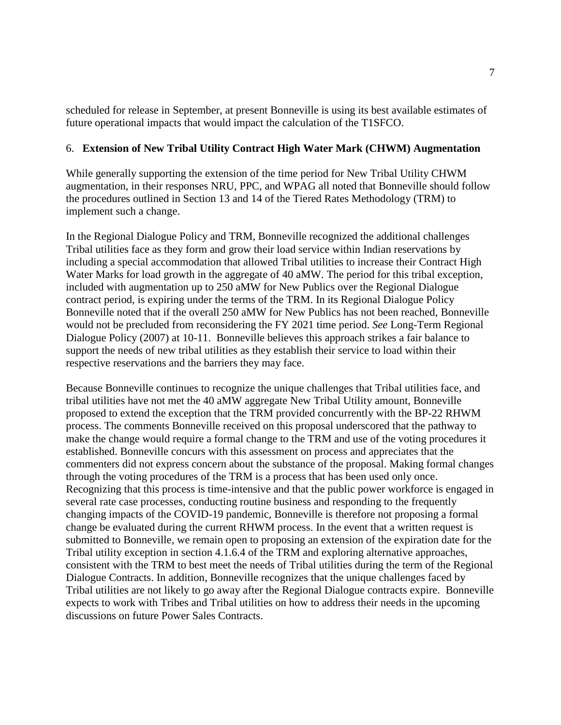scheduled for release in September, at present Bonneville is using its best available estimates of future operational impacts that would impact the calculation of the T1SFCO.

#### 6. **Extension of New Tribal Utility Contract High Water Mark (CHWM) Augmentation**

While generally supporting the extension of the time period for New Tribal Utility CHWM augmentation, in their responses NRU, PPC, and WPAG all noted that Bonneville should follow the procedures outlined in Section 13 and 14 of the Tiered Rates Methodology (TRM) to implement such a change.

In the Regional Dialogue Policy and TRM, Bonneville recognized the additional challenges Tribal utilities face as they form and grow their load service within Indian reservations by including a special accommodation that allowed Tribal utilities to increase their Contract High Water Marks for load growth in the aggregate of 40 aMW. The period for this tribal exception, included with augmentation up to 250 aMW for New Publics over the Regional Dialogue contract period, is expiring under the terms of the TRM. In its Regional Dialogue Policy Bonneville noted that if the overall 250 aMW for New Publics has not been reached, Bonneville would not be precluded from reconsidering the FY 2021 time period. *See* Long-Term Regional Dialogue Policy (2007) at 10-11. Bonneville believes this approach strikes a fair balance to support the needs of new tribal utilities as they establish their service to load within their respective reservations and the barriers they may face.

Because Bonneville continues to recognize the unique challenges that Tribal utilities face, and tribal utilities have not met the 40 aMW aggregate New Tribal Utility amount, Bonneville proposed to extend the exception that the TRM provided concurrently with the BP-22 RHWM process. The comments Bonneville received on this proposal underscored that the pathway to make the change would require a formal change to the TRM and use of the voting procedures it established. Bonneville concurs with this assessment on process and appreciates that the commenters did not express concern about the substance of the proposal. Making formal changes through the voting procedures of the TRM is a process that has been used only once. Recognizing that this process is time-intensive and that the public power workforce is engaged in several rate case processes, conducting routine business and responding to the frequently changing impacts of the COVID-19 pandemic, Bonneville is therefore not proposing a formal change be evaluated during the current RHWM process. In the event that a written request is submitted to Bonneville, we remain open to proposing an extension of the expiration date for the Tribal utility exception in section 4.1.6.4 of the TRM and exploring alternative approaches, consistent with the TRM to best meet the needs of Tribal utilities during the term of the Regional Dialogue Contracts. In addition, Bonneville recognizes that the unique challenges faced by Tribal utilities are not likely to go away after the Regional Dialogue contracts expire. Bonneville expects to work with Tribes and Tribal utilities on how to address their needs in the upcoming discussions on future Power Sales Contracts.